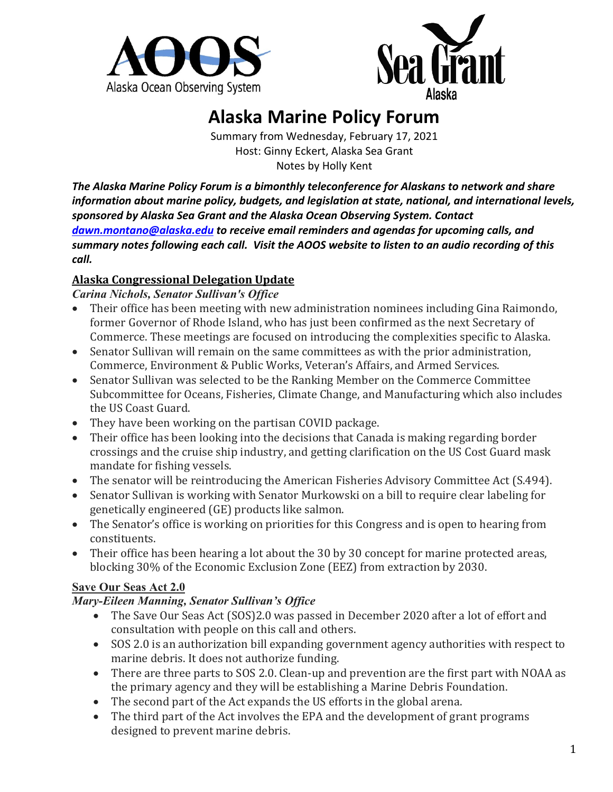



# **Alaska Marine Policy Forum**

Summary from Wednesday, February 17, 2021 Host: Ginny Eckert, Alaska Sea Grant Notes by Holly Kent

*The Alaska Marine Policy Forum is a bimonthly teleconference for Alaskans to network and share information about marine policy, budgets, and legislation at state, national, and international levels, sponsored by Alaska Sea Grant and the Alaska Ocean Observing System. Contact [dawn.montano@alaska.edu](mailto:dawn.montano@alaska.edu) to receive email reminders and agendas for upcoming calls, and summary notes following each call. Visit the AOOS website to listen to an audio recording of this call.*

#### **Alaska Congressional Delegation Update**

*Carina Nichols, Senator Sullivan's Office*

- Their office has been meeting with new administration nominees including Gina Raimondo, former Governor of Rhode Island, who has just been confirmed as the next Secretary of Commerce. These meetings are focused on introducing the complexities specific to Alaska.
- Senator Sullivan will remain on the same committees as with the prior administration, Commerce, Environment & Public Works, Veteran's Affairs, and Armed Services.
- Senator Sullivan was selected to be the Ranking Member on the Commerce Committee Subcommittee for Oceans, Fisheries, Climate Change, and Manufacturing which also includes the US Coast Guard.
- They have been working on the partisan COVID package.
- Their office has been looking into the decisions that Canada is making regarding border crossings and the cruise ship industry, and getting clarification on the US Cost Guard mask mandate for fishing vessels.
- The senator will be reintroducing the American Fisheries Advisory Committee Act (S.494).
- Senator Sullivan is working with Senator Murkowski on a bill to require clear labeling for genetically engineered (GE) products like salmon.
- The Senator's office is working on priorities for this Congress and is open to hearing from constituents.
- Their office has been hearing a lot about the 30 by 30 concept for marine protected areas, blocking 30% of the Economic Exclusion Zone (EEZ) from extraction by 2030.

#### **Save Our Seas Act 2.0**

## *Mary-Eileen Manning, Senator Sullivan's Office*

- The Save Our Seas Act (SOS)2.0 was passed in December 2020 after a lot of effort and consultation with people on this call and others.
- SOS 2.0 is an authorization bill expanding government agency authorities with respect to marine debris. It does not authorize funding.
- There are three parts to SOS 2.0. Clean-up and prevention are the first part with NOAA as the primary agency and they will be establishing a Marine Debris Foundation.
- The second part of the Act expands the US efforts in the global arena.
- The third part of the Act involves the EPA and the development of grant programs designed to prevent marine debris.